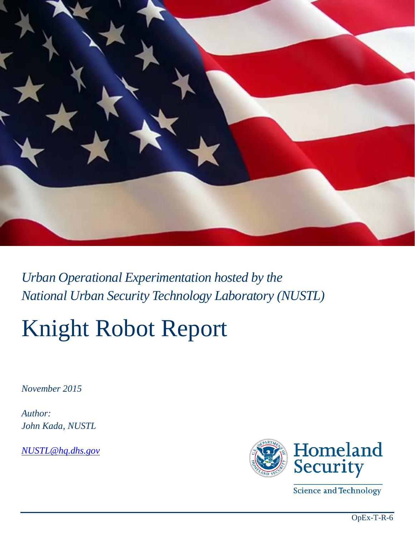

*Urban Operational Experimentation hosted by the National Urban Security Technology Laboratory (NUSTL)*

# Knight Robot Report

*November 2015* 

*Author: John Kada, NUSTL*

*[NUSTL@hq.dhs.gov](mailto:NUSTL@hq.dhs.gov)*



Science and Technology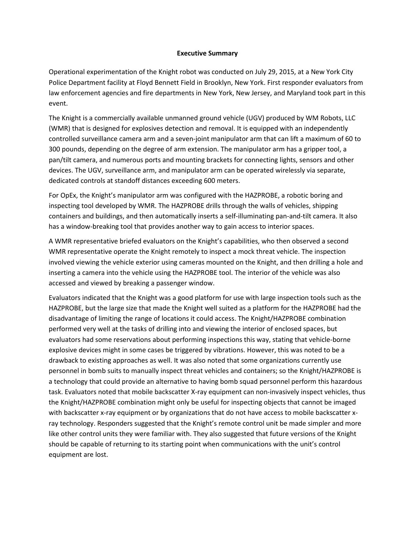#### **Executive Summary**

Operational experimentation of the Knight robot was conducted on July 29, 2015, at a New York City Police Department facility at Floyd Bennett Field in Brooklyn, New York. First responder evaluators from law enforcement agencies and fire departments in New York, New Jersey, and Maryland took part in this event.

The Knight is a commercially available unmanned ground vehicle (UGV) produced by WM Robots, LLC (WMR) that is designed for explosives detection and removal. It is equipped with an independently controlled surveillance camera arm and a seven-joint manipulator arm that can lift a maximum of 60 to 300 pounds, depending on the degree of arm extension. The manipulator arm has a gripper tool, a pan/tilt camera, and numerous ports and mounting brackets for connecting lights, sensors and other devices. The UGV, surveillance arm, and manipulator arm can be operated wirelessly via separate, dedicated controls at standoff distances exceeding 600 meters.

For OpEx, the Knight's manipulator arm was configured with the HAZPROBE, a robotic boring and inspecting tool developed by WMR. The HAZPROBE drills through the walls of vehicles, shipping containers and buildings, and then automatically inserts a self-illuminating pan-and-tilt camera. It also has a window-breaking tool that provides another way to gain access to interior spaces.

A WMR representative briefed evaluators on the Knight's capabilities, who then observed a second WMR representative operate the Knight remotely to inspect a mock threat vehicle. The inspection involved viewing the vehicle exterior using cameras mounted on the Knight, and then drilling a hole and inserting a camera into the vehicle using the HAZPROBE tool. The interior of the vehicle was also accessed and viewed by breaking a passenger window.

Evaluators indicated that the Knight was a good platform for use with large inspection tools such as the HAZPROBE, but the large size that made the Knight well suited as a platform for the HAZPROBE had the disadvantage of limiting the range of locations it could access. The Knight/HAZPROBE combination performed very well at the tasks of drilling into and viewing the interior of enclosed spaces, but evaluators had some reservations about performing inspections this way, stating that vehicle-borne explosive devices might in some cases be triggered by vibrations. However, this was noted to be a drawback to existing approaches as well. It was also noted that some organizations currently use personnel in bomb suits to manually inspect threat vehicles and containers; so the Knight/HAZPROBE is a technology that could provide an alternative to having bomb squad personnel perform this hazardous task. Evaluators noted that mobile backscatter X-ray equipment can non-invasively inspect vehicles, thus the Knight/HAZPROBE combination might only be useful for inspecting objects that cannot be imaged with backscatter x-ray equipment or by organizations that do not have access to mobile backscatter xray technology. Responders suggested that the Knight's remote control unit be made simpler and more like other control units they were familiar with. They also suggested that future versions of the Knight should be capable of returning to its starting point when communications with the unit's control equipment are lost.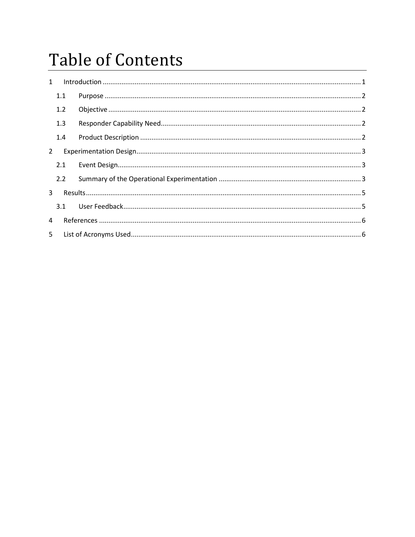# **Table of Contents**

| $\mathbf{1}$   |     | $\label{lem:1} \mbox{Introduction} \,\, \ldots \,\, \ldots \,\, \ldots \,\, \ldots \,\, \ldots \,\, \ldots \,\, \ldots \,\, \ldots \,\, \ldots \,\, \ldots \,\, \ldots \,\, \ldots \,\, \ldots \,\, \ldots \,\, \ldots \,\, \ldots \,\, \ldots \,\, \ldots \,\, \ldots \,\, \ldots \,\, \ldots \,\, \ldots \,\, \ldots \,\, \ldots \,\, \ldots \,\, \ldots \,\, \ldots \,\, \ldots \,\, \ldots \,\, \ldots \,\, \ldots \,\, \ldots \,\, \ldots \,\, \ldots \,\,$ |  |  |
|----------------|-----|------------------------------------------------------------------------------------------------------------------------------------------------------------------------------------------------------------------------------------------------------------------------------------------------------------------------------------------------------------------------------------------------------------------------------------------------------------------|--|--|
|                | 1.1 |                                                                                                                                                                                                                                                                                                                                                                                                                                                                  |  |  |
|                | 1.2 |                                                                                                                                                                                                                                                                                                                                                                                                                                                                  |  |  |
|                | 1.3 |                                                                                                                                                                                                                                                                                                                                                                                                                                                                  |  |  |
|                | 1.4 |                                                                                                                                                                                                                                                                                                                                                                                                                                                                  |  |  |
| $\overline{2}$ |     |                                                                                                                                                                                                                                                                                                                                                                                                                                                                  |  |  |
|                | 2.1 |                                                                                                                                                                                                                                                                                                                                                                                                                                                                  |  |  |
|                | 2.2 |                                                                                                                                                                                                                                                                                                                                                                                                                                                                  |  |  |
| 3              |     |                                                                                                                                                                                                                                                                                                                                                                                                                                                                  |  |  |
|                | 3.1 |                                                                                                                                                                                                                                                                                                                                                                                                                                                                  |  |  |
| 4              |     |                                                                                                                                                                                                                                                                                                                                                                                                                                                                  |  |  |
| 5.             |     |                                                                                                                                                                                                                                                                                                                                                                                                                                                                  |  |  |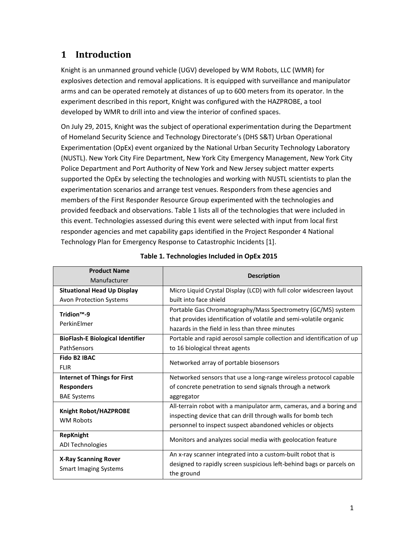## <span id="page-3-0"></span>**1 Introduction**

Knight is an unmanned ground vehicle (UGV) developed by WM Robots, LLC (WMR) for explosives detection and removal applications. It is equipped with surveillance and manipulator arms and can be operated remotely at distances of up to 600 meters from its operator. In the experiment described in this report, Knight was configured with the HAZPROBE, a tool developed by WMR to drill into and view the interior of confined spaces.

On July 29, 2015, Knight was the subject of operational experimentation during the Department of Homeland Security Science and Technology Directorate's (DHS S&T) Urban Operational Experimentation (OpEx) event organized by the National Urban Security Technology Laboratory (NUSTL). New York City Fire Department, New York City Emergency Management, New York City Police Department and Port Authority of New York and New Jersey subject matter experts supported the OpEx by selecting the technologies and working with NUSTL scientists to plan the experimentation scenarios and arrange test venues. Responders from these agencies and members of the First Responder Resource Group experimented with the technologies and provided feedback and observations. Table 1 lists all of the technologies that were included in this event. Technologies assessed during this event were selected with input from local first responder agencies and met capability gaps identified in the Project Responder 4 National Technology Plan for Emergency Response to Catastrophic Incidents [1].

| <b>Product Name</b>                     |                                                                       |  |  |
|-----------------------------------------|-----------------------------------------------------------------------|--|--|
| Manufacturer                            | <b>Description</b>                                                    |  |  |
| <b>Situational Head Up Display</b>      | Micro Liquid Crystal Display (LCD) with full color widescreen layout  |  |  |
| Avon Protection Systems                 | built into face shield                                                |  |  |
| Tridion <sup>™</sup> -9                 | Portable Gas Chromatography/Mass Spectrometry (GC/MS) system          |  |  |
| PerkinElmer                             | that provides identification of volatile and semi-volatile organic    |  |  |
|                                         | hazards in the field in less than three minutes                       |  |  |
| <b>BioFlash-E Biological Identifier</b> | Portable and rapid aerosol sample collection and identification of up |  |  |
| PathSensors                             | to 16 biological threat agents                                        |  |  |
| <b>Fido B2 IBAC</b>                     | Networked array of portable biosensors                                |  |  |
| <b>FLIR</b>                             |                                                                       |  |  |
| <b>Internet of Things for First</b>     | Networked sensors that use a long-range wireless protocol capable     |  |  |
| <b>Responders</b>                       | of concrete penetration to send signals through a network             |  |  |
| <b>BAE Systems</b>                      | aggregator                                                            |  |  |
| Knight Robot/HAZPROBE                   | All-terrain robot with a manipulator arm, cameras, and a boring and   |  |  |
| <b>WM Robots</b>                        | inspecting device that can drill through walls for bomb tech          |  |  |
|                                         | personnel to inspect suspect abandoned vehicles or objects            |  |  |
| <b>RepKnight</b>                        |                                                                       |  |  |
| <b>ADI Technologies</b>                 | Monitors and analyzes social media with geolocation feature           |  |  |
|                                         | An x-ray scanner integrated into a custom-built robot that is         |  |  |
| <b>X-Ray Scanning Rover</b>             | designed to rapidly screen suspicious left-behind bags or parcels on  |  |  |
| <b>Smart Imaging Systems</b>            | the ground                                                            |  |  |

#### **Table 1. Technologies Included in OpEx 2015**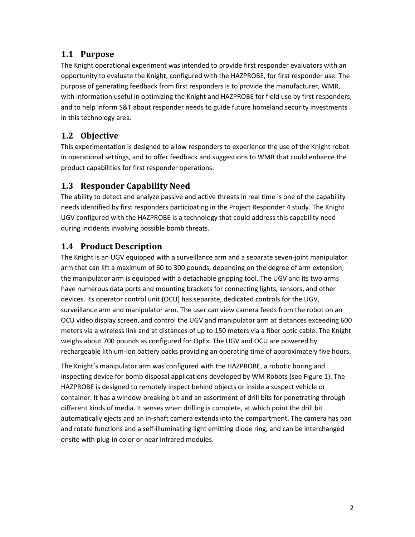#### <span id="page-4-0"></span>**1.1 Purpose**

The Knight operational experiment was intended to provide first responder evaluators with an opportunity to evaluate the Knight, configured with the HAZPROBE, for first responder use. The purpose of generating feedback from first responders is to provide the manufacturer, WMR, with information useful in optimizing the Knight and HAZPROBE for field use by first responders, and to help inform S&T about responder needs to guide future homeland security investments in this technology area.

#### <span id="page-4-1"></span>**1.2 Objective**

This experimentation is designed to allow responders to experience the use of the Knight robot in operational settings, and to offer feedback and suggestions to WMR that could enhance the product capabilities for first responder operations.

#### <span id="page-4-2"></span>**1.3 Responder Capability Need**

The ability to detect and analyze passive and active threats in real time is one of the capability needs identified by first responders participating in the Project Responder 4 study. The Knight UGV configured with the HAZPROBE is a technology that could address this capability need during incidents involving possible bomb threats.

#### <span id="page-4-3"></span>**1.4 Product Description**

The Knight is an UGV equipped with a surveillance arm and a separate seven-joint manipulator arm that can lift a maximum of 60 to 300 pounds, depending on the degree of arm extension; the manipulator arm is equipped with a detachable gripping tool. The UGV and its two arms have numerous data ports and mounting brackets for connecting lights, sensors, and other devices. Its operator control unit (OCU) has separate, dedicated controls for the UGV, surveillance arm and manipulator arm. The user can view camera feeds from the robot on an OCU video display screen, and control the UGV and manipulator arm at distances exceeding 600 meters via a wireless link and at distances of up to 150 meters via a fiber optic cable. The Knight weighs about 700 pounds as configured for OpEx. The UGV and OCU are powered by rechargeable lithium-ion battery packs providing an operating time of approximately five hours.

The Knight's manipulator arm was configured with the HAZPROBE, a robotic boring and inspecting device for bomb disposal applications developed by WM Robots (see Figure 1). The HAZPROBE is designed to remotely inspect behind objects or inside a suspect vehicle or container. It has a window-breaking bit and an assortment of drill bits for penetrating through different kinds of media. It senses when drilling is complete, at which point the drill bit automatically ejects and an in-shaft camera extends into the compartment. The camera has pan and rotate functions and a self-illuminating light emitting diode ring, and can be interchanged onsite with plug-in color or near infrared modules.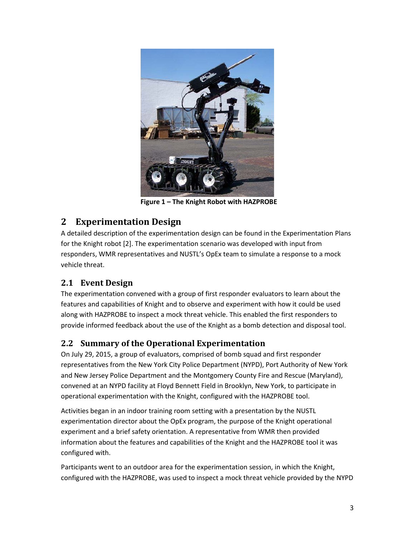

**Figure 1 – The Knight Robot with HAZPROBE**

### <span id="page-5-0"></span>**2 Experimentation Design**

A detailed description of the experimentation design can be found in the Experimentation Plans for the Knight robot [2]. The experimentation scenario was developed with input from responders, WMR representatives and NUSTL's OpEx team to simulate a response to a mock vehicle threat.

#### <span id="page-5-1"></span>**2.1 Event Design**

The experimentation convened with a group of first responder evaluators to learn about the features and capabilities of Knight and to observe and experiment with how it could be used along with HAZPROBE to inspect a mock threat vehicle. This enabled the first responders to provide informed feedback about the use of the Knight as a bomb detection and disposal tool.

#### <span id="page-5-2"></span>**2.2 Summary of the Operational Experimentation**

On July 29, 2015, a group of evaluators, comprised of bomb squad and first responder representatives from the New York City Police Department (NYPD), Port Authority of New York and New Jersey Police Department and the Montgomery County Fire and Rescue (Maryland), convened at an NYPD facility at Floyd Bennett Field in Brooklyn, New York, to participate in operational experimentation with the Knight, configured with the HAZPROBE tool.

Activities began in an indoor training room setting with a presentation by the NUSTL experimentation director about the OpEx program, the purpose of the Knight operational experiment and a brief safety orientation. A representative from WMR then provided information about the features and capabilities of the Knight and the HAZPROBE tool it was configured with.

Participants went to an outdoor area for the experimentation session, in which the Knight, configured with the HAZPROBE, was used to inspect a mock threat vehicle provided by the NYPD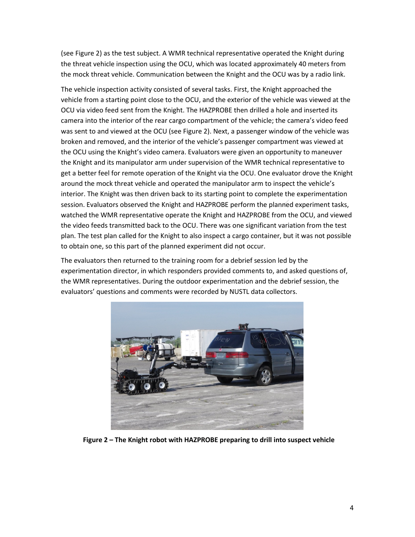(see Figure 2) as the test subject. A WMR technical representative operated the Knight during the threat vehicle inspection using the OCU, which was located approximately 40 meters from the mock threat vehicle. Communication between the Knight and the OCU was by a radio link.

The vehicle inspection activity consisted of several tasks. First, the Knight approached the vehicle from a starting point close to the OCU, and the exterior of the vehicle was viewed at the OCU via video feed sent from the Knight. The HAZPROBE then drilled a hole and inserted its camera into the interior of the rear cargo compartment of the vehicle; the camera's video feed was sent to and viewed at the OCU (see Figure 2). Next, a passenger window of the vehicle was broken and removed, and the interior of the vehicle's passenger compartment was viewed at the OCU using the Knight's video camera. Evaluators were given an opportunity to maneuver the Knight and its manipulator arm under supervision of the WMR technical representative to get a better feel for remote operation of the Knight via the OCU. One evaluator drove the Knight around the mock threat vehicle and operated the manipulator arm to inspect the vehicle's interior. The Knight was then driven back to its starting point to complete the experimentation session. Evaluators observed the Knight and HAZPROBE perform the planned experiment tasks, watched the WMR representative operate the Knight and HAZPROBE from the OCU, and viewed the video feeds transmitted back to the OCU. There was one significant variation from the test plan. The test plan called for the Knight to also inspect a cargo container, but it was not possible to obtain one, so this part of the planned experiment did not occur.

The evaluators then returned to the training room for a debrief session led by the experimentation director, in which responders provided comments to, and asked questions of, the WMR representatives. During the outdoor experimentation and the debrief session, the evaluators' questions and comments were recorded by NUSTL data collectors.



**Figure 2 – The Knight robot with HAZPROBE preparing to drill into suspect vehicle**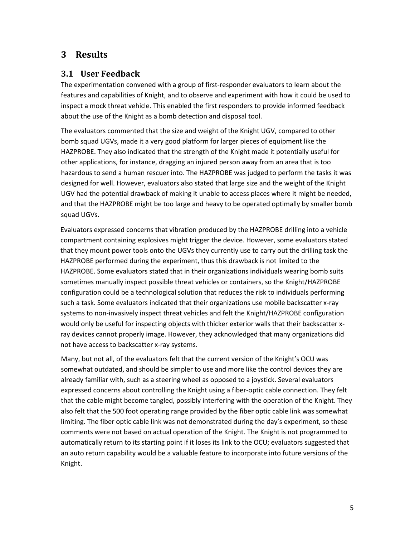#### <span id="page-7-0"></span>**3 Results**

#### <span id="page-7-1"></span>**3.1 User Feedback**

The experimentation convened with a group of first-responder evaluators to learn about the features and capabilities of Knight, and to observe and experiment with how it could be used to inspect a mock threat vehicle. This enabled the first responders to provide informed feedback about the use of the Knight as a bomb detection and disposal tool.

The evaluators commented that the size and weight of the Knight UGV, compared to other bomb squad UGVs, made it a very good platform for larger pieces of equipment like the HAZPROBE. They also indicated that the strength of the Knight made it potentially useful for other applications, for instance, dragging an injured person away from an area that is too hazardous to send a human rescuer into. The HAZPROBE was judged to perform the tasks it was designed for well. However, evaluators also stated that large size and the weight of the Knight UGV had the potential drawback of making it unable to access places where it might be needed, and that the HAZPROBE might be too large and heavy to be operated optimally by smaller bomb squad UGVs.

Evaluators expressed concerns that vibration produced by the HAZPROBE drilling into a vehicle compartment containing explosives might trigger the device. However, some evaluators stated that they mount power tools onto the UGVs they currently use to carry out the drilling task the HAZPROBE performed during the experiment, thus this drawback is not limited to the HAZPROBE. Some evaluators stated that in their organizations individuals wearing bomb suits sometimes manually inspect possible threat vehicles or containers, so the Knight/HAZPROBE configuration could be a technological solution that reduces the risk to individuals performing such a task. Some evaluators indicated that their organizations use mobile backscatter x-ray systems to non-invasively inspect threat vehicles and felt the Knight/HAZPROBE configuration would only be useful for inspecting objects with thicker exterior walls that their backscatter xray devices cannot properly image. However, they acknowledged that many organizations did not have access to backscatter x-ray systems.

Many, but not all, of the evaluators felt that the current version of the Knight's OCU was somewhat outdated, and should be simpler to use and more like the control devices they are already familiar with, such as a steering wheel as opposed to a joystick. Several evaluators expressed concerns about controlling the Knight using a fiber-optic cable connection. They felt that the cable might become tangled, possibly interfering with the operation of the Knight. They also felt that the 500 foot operating range provided by the fiber optic cable link was somewhat limiting. The fiber optic cable link was not demonstrated during the day's experiment, so these comments were not based on actual operation of the Knight. The Knight is not programmed to automatically return to its starting point if it loses its link to the OCU; evaluators suggested that an auto return capability would be a valuable feature to incorporate into future versions of the Knight.